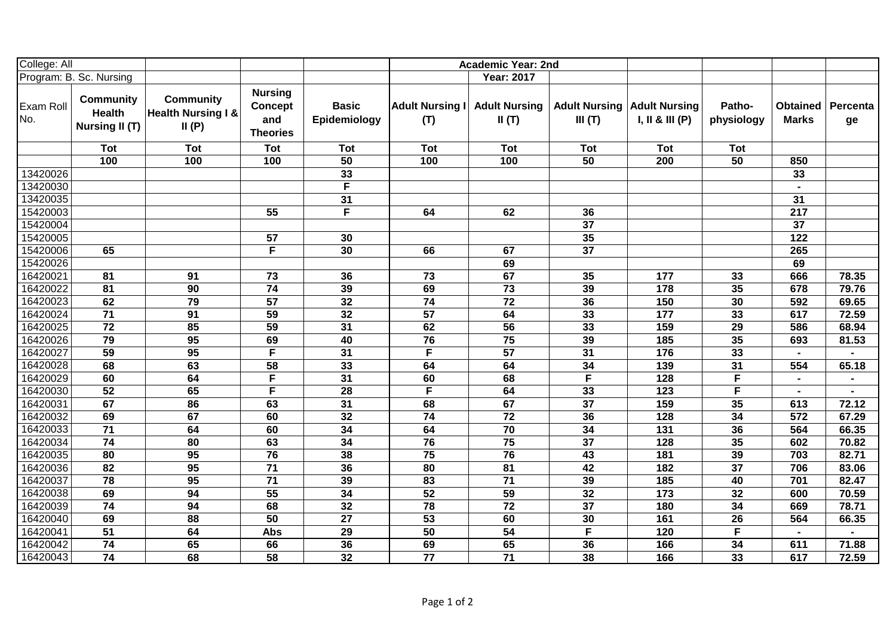| College: All            |                                                            |                                                            |                                                            |                              |                               | <b>Academic Year: 2nd</b>     |                                |                                         |                      |                          |                |
|-------------------------|------------------------------------------------------------|------------------------------------------------------------|------------------------------------------------------------|------------------------------|-------------------------------|-------------------------------|--------------------------------|-----------------------------------------|----------------------|--------------------------|----------------|
| Program: B. Sc. Nursing |                                                            |                                                            |                                                            |                              |                               | <b>Year: 2017</b>             |                                |                                         |                      |                          |                |
| Exam Roll<br>No.        | <b>Community</b><br><b>Health</b><br><b>Nursing II (T)</b> | <b>Community</b><br><b>Health Nursing I &amp;</b><br>II(P) | <b>Nursing</b><br><b>Concept</b><br>and<br><b>Theories</b> | <b>Basic</b><br>Epidemiology | <b>Adult Nursing I</b><br>(T) | <b>Adult Nursing</b><br>II(T) | <b>Adult Nursing</b><br>III(T) | <b>Adult Nursing</b><br>I, II & III (P) | Patho-<br>physiology | Obtained<br><b>Marks</b> | Percenta<br>ge |
|                         | Tot                                                        | <b>Tot</b>                                                 | <b>Tot</b>                                                 | <b>Tot</b>                   | <b>Tot</b>                    | <b>Tot</b>                    | <b>Tot</b>                     | Tot                                     | <b>Tot</b>           |                          |                |
|                         | 100                                                        | 100                                                        | 100                                                        | 50                           | 100                           | 100                           | 50                             | 200                                     | 50                   | 850                      |                |
| 13420026                |                                                            |                                                            |                                                            | 33                           |                               |                               |                                |                                         |                      | 33                       |                |
| 13420030                |                                                            |                                                            |                                                            | $\overline{F}$               |                               |                               |                                |                                         |                      |                          |                |
| 13420035                |                                                            |                                                            |                                                            | 31                           |                               |                               |                                |                                         |                      | 31                       |                |
| 15420003                |                                                            |                                                            | 55                                                         | F                            | 64                            | 62                            | 36                             |                                         |                      | 217                      |                |
| 15420004                |                                                            |                                                            |                                                            |                              |                               |                               | $\overline{37}$                |                                         |                      | $\overline{37}$          |                |
| 15420005                |                                                            |                                                            | 57                                                         | 30                           |                               |                               | 35                             |                                         |                      | $122$                    |                |
| 15420006                | 65                                                         |                                                            | F                                                          | 30                           | 66                            | 67                            | 37                             |                                         |                      | 265                      |                |
| 15420026                |                                                            |                                                            |                                                            |                              |                               | 69                            |                                |                                         |                      | 69                       |                |
| 16420021                | 81                                                         | 91                                                         | 73                                                         | 36                           | 73                            | 67                            | 35                             | 177                                     | 33                   | 666                      | 78.35          |
| 16420022                | 81                                                         | 90                                                         | 74                                                         | 39                           | 69                            | 73                            | 39                             | 178                                     | 35                   | 678                      | 79.76          |
| 16420023                | 62                                                         | 79                                                         | 57                                                         | 32                           | $\overline{74}$               | 72                            | 36                             | 150                                     | 30                   | 592                      | 69.65          |
| 16420024                | 71                                                         | 91                                                         | 59                                                         | $\overline{32}$              | $\overline{57}$               | 64                            | 33                             | $177$                                   | 33                   | 617                      | 72.59          |
| 16420025                | $\overline{72}$                                            | 85                                                         | 59                                                         | 31                           | 62                            | 56                            | 33                             | 159                                     | 29                   | 586                      | 68.94          |
| 16420026                | $\overline{79}$                                            | 95                                                         | 69                                                         | 40                           | 76                            | 75                            | 39                             | $\overline{185}$                        | 35                   | 693                      | 81.53          |
| 16420027                | 59                                                         | 95                                                         | F                                                          | 31                           | $\overline{F}$                | 57                            | 31                             | 176                                     | 33                   |                          |                |
| 16420028                | 68                                                         | 63                                                         | 58                                                         | 33                           | 64                            | 64                            | 34                             | 139                                     | 31                   | 554                      | 65.18          |
| 16420029                | 60                                                         | 64                                                         | F                                                          | $\overline{31}$              | 60                            | 68                            | $\overline{\mathsf{F}}$        | 128                                     | F                    |                          | $\blacksquare$ |
| 16420030                | $\overline{52}$                                            | 65                                                         | F                                                          | $\overline{28}$              | $\overline{\mathsf{F}}$       | 64                            | 33                             | $\overline{123}$                        | F                    |                          |                |
| 16420031                | 67                                                         | 86                                                         | 63                                                         | $\overline{31}$              | 68                            | 67                            | $\overline{37}$                | 159                                     | 35                   | 613                      | 72.12          |
| 16420032                | 69                                                         | 67                                                         | 60                                                         | 32                           | $\overline{74}$               | $\overline{72}$               | 36                             | 128                                     | 34                   | 572                      | 67.29          |
| 16420033                | 71                                                         | 64                                                         | 60                                                         | $\overline{34}$              | 64                            | 70                            | 34                             | 131                                     | 36                   | 564                      | 66.35          |
| 16420034                | $\overline{74}$                                            | 80                                                         | 63                                                         | $\overline{34}$              | 76                            | $\overline{75}$               | $\overline{37}$                | 128                                     | 35                   | 602                      | 70.82          |
| 16420035                | 80                                                         | 95                                                         | 76                                                         | 38                           | 75                            | 76                            | 43                             | 181                                     | 39                   | 703                      | 82.71          |
| 16420036                | 82                                                         | 95                                                         | $\overline{71}$                                            | 36                           | 80                            | 81                            | 42                             | 182                                     | 37                   | 706                      | 83.06          |
| 16420037                | 78                                                         | 95                                                         | 71                                                         | 39                           | 83                            | 71                            | 39                             | 185                                     | 40                   | 701                      | 82.47          |
| 16420038                | 69                                                         | 94                                                         | 55                                                         | 34                           | 52                            | 59                            | 32                             | 173                                     | 32                   | 600                      | 70.59          |
| 16420039                | 74                                                         | 94                                                         | 68                                                         | 32                           | 78                            | 72                            | 37                             | 180                                     | 34                   | 669                      | 78.71          |
| 16420040                | 69                                                         | 88                                                         | 50                                                         | 27                           | 53                            | 60                            | 30                             | 161                                     | 26                   | 564                      | 66.35          |
| 16420041                | 51                                                         | 64                                                         | Abs                                                        | 29                           | 50                            | 54                            | $\overline{F}$                 | 120                                     | F                    |                          |                |
| 16420042                | 74                                                         | 65                                                         | 66                                                         | 36                           | 69                            | 65                            | 36                             | 166                                     | 34                   | 611                      | 71.88          |
| 16420043                | 74                                                         | 68                                                         | 58                                                         | 32                           | 77                            | 71                            | 38                             | 166                                     | 33                   | 617                      | 72.59          |